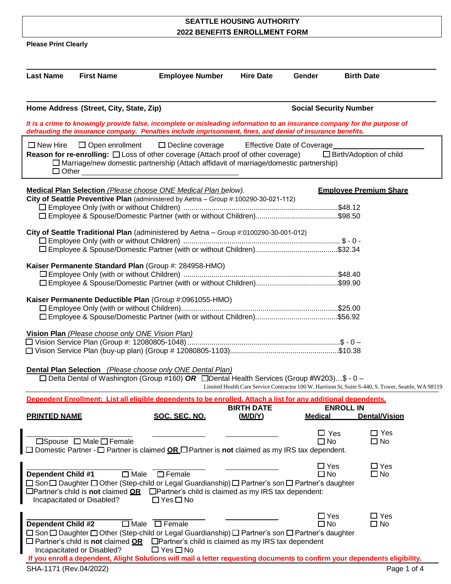# **SEATTLE HOUSING AUTHORITY 2022 BENEFITS ENROLLMENT FORM**

**Please Print Clearly**

| <b>Last Name</b>                | <b>First Name</b>                                                                                                                                                                                                                                                                                                   | <b>Employee Number</b>                                                                                                                                                                                                                                                  | <b>Hire Date</b>             | Gender                            | <b>Birth Date</b>              |                                                                                                     |  |
|---------------------------------|---------------------------------------------------------------------------------------------------------------------------------------------------------------------------------------------------------------------------------------------------------------------------------------------------------------------|-------------------------------------------------------------------------------------------------------------------------------------------------------------------------------------------------------------------------------------------------------------------------|------------------------------|-----------------------------------|--------------------------------|-----------------------------------------------------------------------------------------------------|--|
|                                 | <b>Social Security Number</b><br>Home Address (Street, City, State, Zip)<br>It is a crime to knowingly provide false, incomplete or misleading information to an insurance company for the purpose of<br>defrauding the insurance company. Penalties include imprisonment, fines, and denial of insurance benefits. |                                                                                                                                                                                                                                                                         |                              |                                   |                                |                                                                                                     |  |
| $\Box$ New Hire<br>$\Box$ Other | $\Box$ Open enrollment                                                                                                                                                                                                                                                                                              | $\Box$ Decline coverage<br><b>Reason for re-enrolling:</b> $\square$ Loss of other coverage (Attach proof of other coverage)<br>$\square$ Marriage/new domestic partnership (Attach affidavit of marriage/domestic partnership)                                         |                              | <b>Effective Date of Coverage</b> | $\Box$ Birth/Adoption of child |                                                                                                     |  |
|                                 |                                                                                                                                                                                                                                                                                                                     | <b>Medical Plan Selection</b> (Please choose ONE Medical Plan below).<br>City of Seattle Preventive Plan (administered by Aetna - Group #:100290-30-021-112)                                                                                                            |                              |                                   | <b>Emplovee Premium Share</b>  |                                                                                                     |  |
|                                 |                                                                                                                                                                                                                                                                                                                     | City of Seattle Traditional Plan (administered by Aetna - Group #:0100290-30-001-012)                                                                                                                                                                                   |                              |                                   |                                |                                                                                                     |  |
|                                 | Kaiser Permanente Standard Plan (Group #: 284958-HMO)                                                                                                                                                                                                                                                               |                                                                                                                                                                                                                                                                         |                              |                                   |                                |                                                                                                     |  |
|                                 |                                                                                                                                                                                                                                                                                                                     | Kaiser Permanente Deductible Plan (Group #:0961055-HMO)                                                                                                                                                                                                                 |                              |                                   |                                |                                                                                                     |  |
|                                 | Vision Plan (Please choose only ONE Vision Plan)                                                                                                                                                                                                                                                                    | □ Vision Service Plan (Group #: 12080805-1048) ………………………………………………………………………………………\$ - 0                                                                                                                                                                                  |                              |                                   |                                |                                                                                                     |  |
|                                 |                                                                                                                                                                                                                                                                                                                     | Dental Plan Selection (Please choose only ONE Dental Plan)<br>$\Box$ Delta Dental of Washington (Group #160) OR $\Box$ Dental Health Services (Group #W203)\$ - 0 -                                                                                                     |                              |                                   |                                | Limited Health Care Service Contractor 100 W. Harrison St, Suite S-440, S. Tower, Seattle, WA 98119 |  |
| <b>PRINTED NAME</b>             |                                                                                                                                                                                                                                                                                                                     | Dependent Enrollment: List all eligible dependents to be enrolled. Attach a list for any additional dependents,<br>SOC. SEC. NO.                                                                                                                                        | <b>BIRTH DATE</b><br>(M/D/Y) | <b>Medical</b>                    | <b>ENROLL IN</b>               | <b>Dental/Vision</b>                                                                                |  |
|                                 | □Spouse □ Male □ Female                                                                                                                                                                                                                                                                                             | $\Box$ Domestic Partner - $\Box$ Partner is claimed <b>OR</b> $\Box$ Partner is <b>not</b> claimed as my IRS tax dependent.                                                                                                                                             |                              | $\Box$ Yes<br>$\Box$ No           |                                | $\Box$ Yes<br>$\Box$ No                                                                             |  |
| <b>Dependent Child #1</b>       | $\overline{\Box}$ Male<br>Incapacitated or Disabled?                                                                                                                                                                                                                                                                | $\Box$ Female<br>□ Son □ Daughter □ Other (Step-child or Legal Guardianship) □ Partner's son □ Partner's daughter<br>$\Box$ Partner's child is <b>not</b> claimed $\angle$ <b>OR</b> $\Box$ Partner's child is claimed as my IRS tax dependent:<br>$\Box$ Yes $\Box$ No |                              | $\Box$ Yes<br>$\square$ No        |                                | $\Box$ Yes<br>$\square$ No                                                                          |  |
| <b>Dependent Child #2</b>       | $\Box$ Partner's child is <b>not</b> claimed <b>OR</b><br>Incapacitated or Disabled?                                                                                                                                                                                                                                | $\Box$ Male $\Box$ Female<br>□ Son □ Daughter □ Other (Step-child or Legal Guardianship) □ Partner's son □ Partner's daughter<br>□ Partner's child is claimed as my IRS tax dependent<br>$\Box$ Yes $\Box$ No                                                           |                              | $\Box$ Yes<br>$\square$ No        |                                | $\Box$ Yes<br>$\Box$ No                                                                             |  |
| SHA-1171 (Rev.04/2022)          |                                                                                                                                                                                                                                                                                                                     | If you enroll a dependent, Alight Solutions will mail a letter requesting documents to confirm your dependents eligibility.                                                                                                                                             |                              |                                   |                                | Page 1 of 4                                                                                         |  |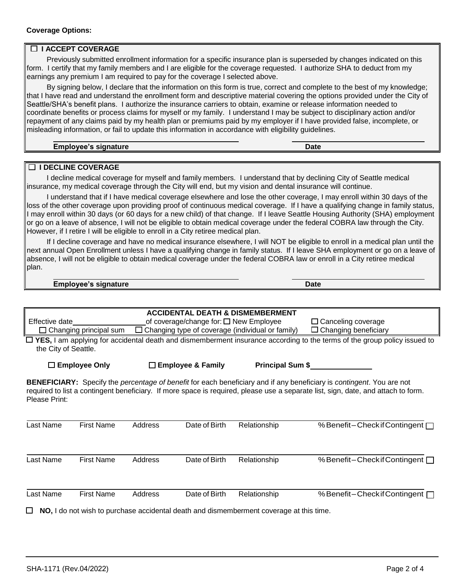## **Coverage Options:**

## **I ACCEPT COVERAGE**

Previously submitted enrollment information for a specific insurance plan is superseded by changes indicated on this form. I certify that my family members and I are eligible for the coverage requested. I authorize SHA to deduct from my earnings any premium I am required to pay for the coverage I selected above.

By signing below, I declare that the information on this form is true, correct and complete to the best of my knowledge; that I have read and understand the enrollment form and descriptive material covering the options provided under the City of Seattle/SHA's benefit plans. I authorize the insurance carriers to obtain, examine or release information needed to coordinate benefits or process claims for myself or my family. I understand I may be subject to disciplinary action and/or repayment of any claims paid by my health plan or premiums paid by my employer if I have provided false, incomplete, or misleading information, or fail to update this information in accordance with eligibility guidelines.

| <b>Employee's signature</b> | Date |
|-----------------------------|------|
|-----------------------------|------|

#### **I DECLINE COVERAGE**

I decline medical coverage for myself and family members. I understand that by declining City of Seattle medical insurance, my medical coverage through the City will end, but my vision and dental insurance will continue.

I understand that if I have medical coverage elsewhere and lose the other coverage, I may enroll within 30 days of the loss of the other coverage upon providing proof of continuous medical coverage. If I have a qualifying change in family status, I may enroll within 30 days (or 60 days for a new child) of that change. If I leave Seattle Housing Authority (SHA) employment or go on a leave of absence, I will not be eligible to obtain medical coverage under the federal COBRA law through the City. However, if I retire I will be eligible to enroll in a City retiree medical plan.

If I decline coverage and have no medical insurance elsewhere, I will NOT be eligible to enroll in a medical plan until the next annual Open Enrollment unless I have a qualifying change in family status. If I leave SHA employment or go on a leave of absence, I will not be eligible to obtain medical coverage under the federal COBRA law or enroll in a City retiree medical plan.

### **Employee's signature Date**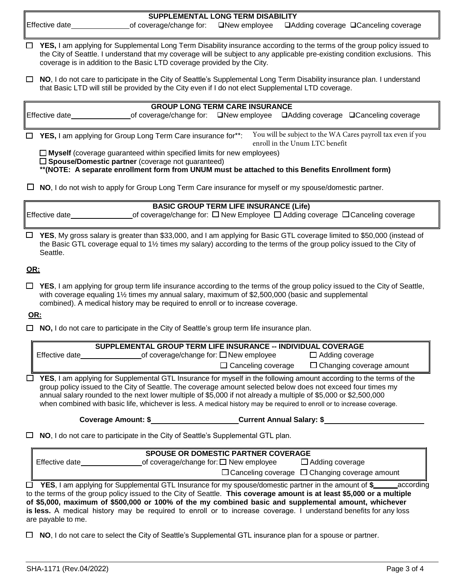| SUPPLEMENTAL LONG TERM DISABILITY |  |  |                                                                            |  |  |
|-----------------------------------|--|--|----------------------------------------------------------------------------|--|--|
| Effective date                    |  |  | of coverage/change for: □New employee □Adding coverage □Canceling coverage |  |  |

- **YES,** I am applying for Supplemental Long Term Disability insurance according to the terms of the group policy issued to the City of Seattle. I understand that my coverage will be subject to any applicable pre-existing condition exclusions. This coverage is in addition to the Basic LTD coverage provided by the City.
- **NO**, I do not care to participate in the City of Seattle's Supplemental Long Term Disability insurance plan. I understand that Basic LTD will still be provided by the City even if I do not elect Supplemental LTD coverage.

| <b>GROUP LONG TERM CARE INSURANCE</b>                               |                                                                                                   |  |  |                                |                                                             |  |
|---------------------------------------------------------------------|---------------------------------------------------------------------------------------------------|--|--|--------------------------------|-------------------------------------------------------------|--|
| ∥Effective date                                                     | _of coverage/change for: □New employee □Adding coverage □Canceling coverage                       |  |  |                                |                                                             |  |
|                                                                     |                                                                                                   |  |  |                                |                                                             |  |
| $\Box$ YES, I am applying for Group Long Term Care insurance for**: |                                                                                                   |  |  | enroll in the Unum LTC benefit | You will be subject to the WA Cares payroll tax even if you |  |
|                                                                     | $\Box$ Myself (coverage guaranteed within specified limits for new employees)                     |  |  |                                |                                                             |  |
|                                                                     | $\Box$ Spouse/Domestic partner (coverage not guaranteed)                                          |  |  |                                |                                                             |  |
|                                                                     | ** (NOTE: A separate enrollment form from UNUM must be attached to this Benefits Enrollment form) |  |  |                                |                                                             |  |
|                                                                     |                                                                                                   |  |  |                                |                                                             |  |

| $\Box$ NO, I do not wish to apply for Group Long Term Care insurance for myself or my spouse/domestic partner. |  |
|----------------------------------------------------------------------------------------------------------------|--|
|----------------------------------------------------------------------------------------------------------------|--|

| <b>BASIC GROUP TERM LIFE INSURANCE (Life)</b> |                                                                                                       |  |  |  |  |
|-----------------------------------------------|-------------------------------------------------------------------------------------------------------|--|--|--|--|
| Effective date                                | of coverage/change for: $\square$ New Employee $\square$ Adding coverage $\square$ Canceling coverage |  |  |  |  |

 **YES**, My gross salary is greater than \$33,000, and I am applying for Basic GTL coverage limited to \$50,000 (instead of the Basic GTL coverage equal to 1½ times my salary) according to the terms of the group policy issued to the City of Seattle.

# **OR:**

 **YES**, I am applying for group term life insurance according to the terms of the group policy issued to the City of Seattle, with coverage equaling 1½ times my annual salary, maximum of \$2,500,000 (basic and supplemental combined). A medical history may be required to enroll or to increase coverage.

# **OR:**

**NO,** I do not care to participate in the City of Seattle's group term life insurance plan.

|                | SUPPLEMENTAL GROUP TERM LIFE INSURANCE -- INDIVIDUAL COVERAGE |                                 |
|----------------|---------------------------------------------------------------|---------------------------------|
| Effective date | of coverage/change for: $\square$ New employee                | $\Box$ Adding coverage          |
|                | $\Box$ Canceling coverage                                     | $\Box$ Changing coverage amount |

 **YES**, I am applying for Supplemental GTL Insurance for myself in the following amount according to the terms of the group policy issued to the City of Seattle. The coverage amount selected below does not exceed four times my annual salary rounded to the next lower multiple of \$5,000 if not already a multiple of \$5,000 or \$2,500,000 when combined with basic life, whichever is less. A medical history may be required to enroll or to increase coverage.

| Coverage Amount: \$ | <b>Current Annual Salary: \$</b> |  |
|---------------------|----------------------------------|--|
|                     |                                  |  |

**NO**, I do not care to participate in the City of Seattle's Supplemental GTL plan.

| <b>SPOUSE OR DOMESTIC PARTNER COVERAGE</b> |                                                |                                                           |  |  |
|--------------------------------------------|------------------------------------------------|-----------------------------------------------------------|--|--|
| Effective date                             | of coverage/change for: $\square$ New employee | $\Box$ Adding coverage                                    |  |  |
|                                            |                                                | $\Box$ Canceling coverage $\Box$ Changing coverage amount |  |  |
|                                            |                                                |                                                           |  |  |

 **YES**, I am applying for Supplemental GTL Insurance for my spouse/domestic partner in the amount of **\$** according to the terms of the group policy issued to the City of Seattle. **This coverage amount is at least \$5,000 or a multiple of \$5,000, maximum of \$500,000 or 100% of the my combined basic and supplemental amount, whichever is less.** A medical history may be required to enroll or to increase coverage. I understand benefits for any loss are payable to me.

**NO**, I do not care to select the City of Seattle's Supplemental GTL insurance plan for a spouse or partner.